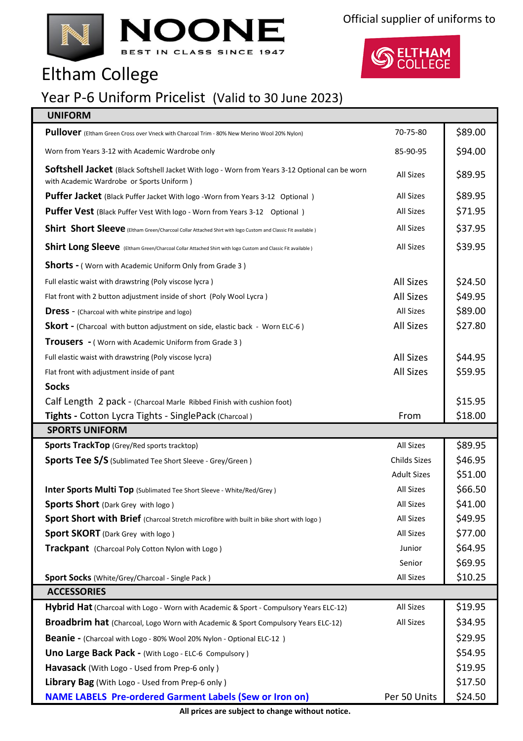



## Eltham College

## Year P-6 Uniform Pricelist (Valid to 30 June 2023)

|  |  | <b>UNIFORM</b> |
|--|--|----------------|
|  |  |                |

| Pullover (Eltham Green Cross over Vneck with Charcoal Trim - 80% New Merino Wool 20% Nylon)                                                 | 70-75-80            | \$89.00 |
|---------------------------------------------------------------------------------------------------------------------------------------------|---------------------|---------|
| Worn from Years 3-12 with Academic Wardrobe only                                                                                            | 85-90-95            | \$94.00 |
| Softshell Jacket (Black Softshell Jacket With logo - Worn from Years 3-12 Optional can be worn<br>with Academic Wardrobe or Sports Uniform) | <b>All Sizes</b>    | \$89.95 |
| <b>Puffer Jacket</b> (Black Puffer Jacket With logo -Worn from Years 3-12 Optional)                                                         | <b>All Sizes</b>    | \$89.95 |
| <b>Puffer Vest</b> (Black Puffer Vest With logo - Worn from Years 3-12 Optional)                                                            | <b>All Sizes</b>    | \$71.95 |
| Shirt Short Sleeve (Eltham Green/Charcoal Collar Attached Shirt with logo Custom and Classic Fit available)                                 | <b>All Sizes</b>    | \$37.95 |
| Shirt Long Sleeve (Eltham Green/Charcoal Collar Attached Shirt with logo Custom and Classic Fit available)                                  | All Sizes           | \$39.95 |
| <b>Shorts -</b> (Worn with Academic Uniform Only from Grade 3)                                                                              |                     |         |
| Full elastic waist with drawstring (Poly viscose lycra)                                                                                     | <b>All Sizes</b>    | \$24.50 |
| Flat front with 2 button adjustment inside of short (Poly Wool Lycra)                                                                       | <b>All Sizes</b>    | \$49.95 |
| <b>Dress</b> - (Charcoal with white pinstripe and logo)                                                                                     | <b>All Sizes</b>    | \$89.00 |
| <b>Skort</b> - (Charcoal with button adjustment on side, elastic back - Worn ELC-6)                                                         | <b>All Sizes</b>    | \$27.80 |
| <b>Trousers</b> - (Worn with Academic Uniform from Grade 3)                                                                                 |                     |         |
| Full elastic waist with drawstring (Poly viscose lycra)                                                                                     | <b>All Sizes</b>    | \$44.95 |
| Flat front with adjustment inside of pant                                                                                                   | <b>All Sizes</b>    | \$59.95 |
| <b>Socks</b>                                                                                                                                |                     |         |
| Calf Length 2 pack - (Charcoal Marle Ribbed Finish with cushion foot)                                                                       |                     | \$15.95 |
| Tights - Cotton Lycra Tights - SinglePack (Charcoal)                                                                                        | From                | \$18.00 |
| <b>SPORTS UNIFORM</b>                                                                                                                       |                     |         |
| <b>Sports TrackTop</b> (Grey/Red sports tracktop)                                                                                           | All Sizes           | \$89.95 |
| <b>Sports Tee S/S</b> (Sublimated Tee Short Sleeve - Grey/Green)                                                                            | <b>Childs Sizes</b> | \$46.95 |
|                                                                                                                                             | <b>Adult Sizes</b>  | \$51.00 |
| <b>Inter Sports Multi Top</b> (Sublimated Tee Short Sleeve - White/Red/Grey)                                                                | <b>All Sizes</b>    | \$66.50 |
| <b>Sports Short</b> (Dark Grey with logo)                                                                                                   | <b>All Sizes</b>    | \$41.00 |
| <b>Sport Short with Brief</b> (Charcoal Stretch microfibre with built in bike short with logo)                                              | All Sizes           | \$49.95 |
| <b>Sport SKORT</b> (Dark Grey with logo)                                                                                                    | All Sizes           | \$77.00 |
| Trackpant (Charcoal Poly Cotton Nylon with Logo)                                                                                            | Junior              | \$64.95 |
|                                                                                                                                             | Senior              | \$69.95 |
| Sport Socks (White/Grey/Charcoal - Single Pack)                                                                                             | All Sizes           | \$10.25 |
| <b>ACCESSORIES</b>                                                                                                                          |                     |         |
| Hybrid Hat (Charcoal with Logo - Worn with Academic & Sport - Compulsory Years ELC-12)                                                      | All Sizes           | \$19.95 |
| All Sizes<br>Broadbrim hat (Charcoal, Logo Worn with Academic & Sport Compulsory Years ELC-12)                                              |                     |         |
| <b>Beanie</b> - (Charcoal with Logo - 80% Wool 20% Nylon - Optional ELC-12)                                                                 |                     |         |
| Uno Large Back Pack - (With Logo - ELC-6 Compulsory)                                                                                        |                     |         |
| Havasack (With Logo - Used from Prep-6 only)                                                                                                |                     |         |
| <b>Library Bag</b> (With Logo - Used from Prep-6 only)                                                                                      |                     |         |
| <b>NAME LABELS Pre-ordered Garment Labels (Sew or Iron on)</b>                                                                              | Per 50 Units        | \$24.50 |

**All prices are subject to change without notice.**